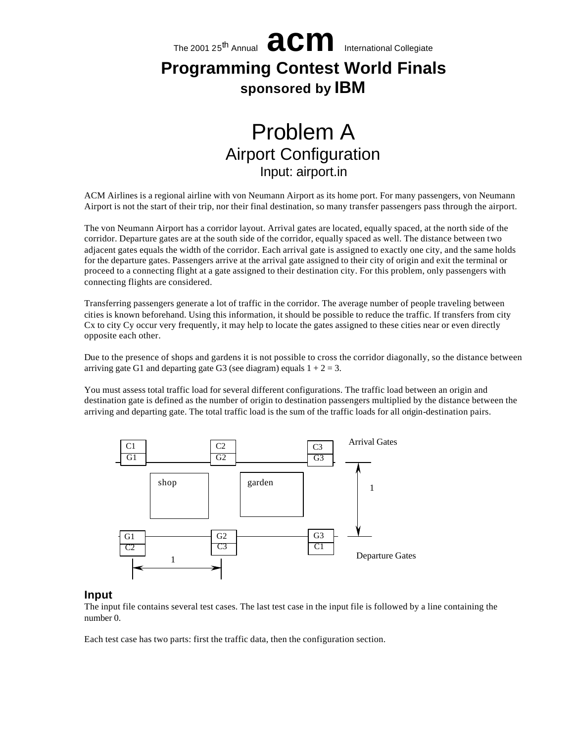

# Problem A Airport Configuration Input: airport.in

ACM Airlines is a regional airline with von Neumann Airport as its home port. For many passengers, von Neumann Airport is not the start of their trip, nor their final destination, so many transfer passengers pass through the airport.

The von Neumann Airport has a corridor layout. Arrival gates are located, equally spaced, at the north side of the corridor. Departure gates are at the south side of the corridor, equally spaced as well. The distance between two adjacent gates equals the width of the corridor. Each arrival gate is assigned to exactly one city, and the same holds for the departure gates. Passengers arrive at the arrival gate assigned to their city of origin and exit the terminal or proceed to a connecting flight at a gate assigned to their destination city. For this problem, only passengers with connecting flights are considered.

Transferring passengers generate a lot of traffic in the corridor. The average number of people traveling between cities is known beforehand. Using this information, it should be possible to reduce the traffic. If transfers from city Cx to city Cy occur very frequently, it may help to locate the gates assigned to these cities near or even directly opposite each other.

Due to the presence of shops and gardens it is not possible to cross the corridor diagonally, so the distance between arriving gate G1 and departing gate G3 (see diagram) equals  $1 + 2 = 3$ .

You must assess total traffic load for several different configurations. The traffic load between an origin and destination gate is defined as the number of origin to destination passengers multiplied by the distance between the arriving and departing gate. The total traffic load is the sum of the traffic loads for all origin-destination pairs.



#### **Input**

The input file contains several test cases. The last test case in the input file is followed by a line containing the number 0.

Each test case has two parts: first the traffic data, then the configuration section.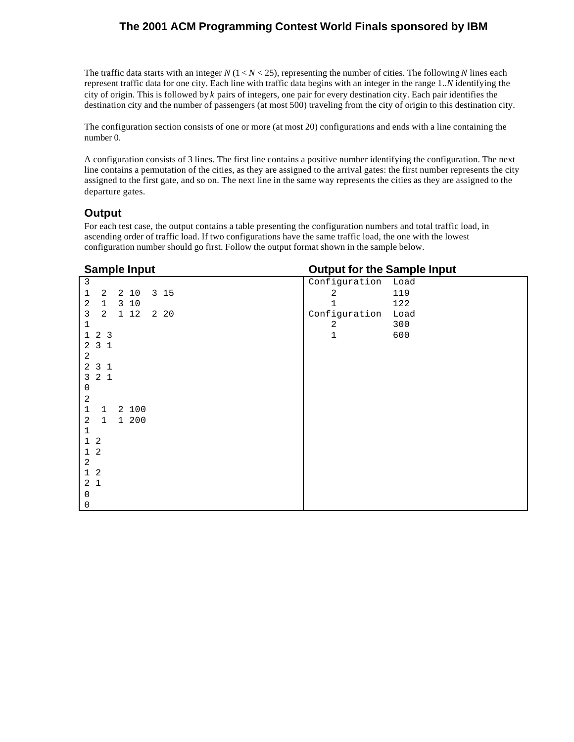The traffic data starts with an integer  $N(1 < N < 25)$ , representing the number of cities. The following  $N$  lines each represent traffic data for one city. Each line with traffic data begins with an integer in the range 1..*N* identifying the city of origin. This is followed by *k* pairs of integers, one pair for every destination city. Each pair identifies the destination city and the number of passengers (at most 500) traveling from the city of origin to this destination city.

The configuration section consists of one or more (at most 20) configurations and ends with a line containing the number 0.

A configuration consists of 3 lines. The first line contains a positive number identifying the configuration. The next line contains a permutation of the cities, as they are assigned to the arrival gates: the first number represents the city assigned to the first gate, and so on. The next line in the same way represents the cities as they are assigned to the departure gates.

#### **Output**

For each test case, the output contains a table presenting the configuration numbers and total traffic load, in ascending order of traffic load. If two configurations have the same traffic load, the one with the lowest configuration number should go first. Follow the output format shown in the sample below.

| 3              |                |                      |       | Configuration | Load |
|----------------|----------------|----------------------|-------|---------------|------|
| $\mathbf 1$    | 2              | 2 10                 | 3 15  | 2             | 119  |
| $\overline{2}$ | $\mathbf{1}$   | 3 10                 |       | $\mathbf{1}$  | 122  |
| 3              |                | $2 \quad 1 \quad 12$ | 2 2 0 | Configuration | Load |
| 1              |                |                      |       | 2             | 300  |
| $\mathbf{1}$   | 2 <sub>3</sub> |                      |       | $\mathbf{1}$  | 600  |
| $\overline{a}$ | 3 <sub>1</sub> |                      |       |               |      |
| 2              |                |                      |       |               |      |
| 2              | 3 <sub>1</sub> |                      |       |               |      |
| $\mathfrak{Z}$ | 2 <sub>1</sub> |                      |       |               |      |
| 0              |                |                      |       |               |      |
| $\sqrt{2}$     |                |                      |       |               |      |
| $\mathbf 1$    | $\mathbf{1}$   | 2 100                |       |               |      |
| $\overline{2}$ | $\mathbf{1}$   | 1 200                |       |               |      |
| 1              |                |                      |       |               |      |
| $\mathbf 1$    | 2              |                      |       |               |      |
| $\mathbf 1$    | 2              |                      |       |               |      |
| 2              |                |                      |       |               |      |
| $\mathbf 1$    | 2              |                      |       |               |      |
| $\overline{a}$ | $\mathbf{1}$   |                      |       |               |      |
| 0              |                |                      |       |               |      |
| 0              |                |                      |       |               |      |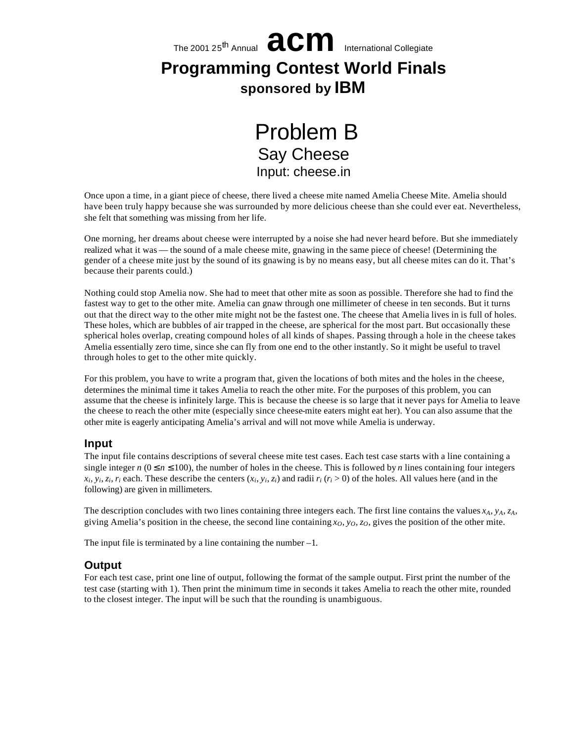

 Problem B Say Cheese Input: cheese.in

Once upon a time, in a giant piece of cheese, there lived a cheese mite named Amelia Cheese Mite. Amelia should have been truly happy because she was surrounded by more delicious cheese than she could ever eat. Nevertheless, she felt that something was missing from her life.

One morning, her dreams about cheese were interrupted by a noise she had never heard before. But she immediately realized what it was — the sound of a male cheese mite, gnawing in the same piece of cheese! (Determining the gender of a cheese mite just by the sound of its gnawing is by no means easy, but all cheese mites can do it. That's because their parents could.)

Nothing could stop Amelia now. She had to meet that other mite as soon as possible. Therefore she had to find the fastest way to get to the other mite. Amelia can gnaw through one millimeter of cheese in ten seconds. But it turns out that the direct way to the other mite might not be the fastest one. The cheese that Amelia lives in is full of holes. These holes, which are bubbles of air trapped in the cheese, are spherical for the most part. But occasionally these spherical holes overlap, creating compound holes of all kinds of shapes. Passing through a hole in the cheese takes Amelia essentially zero time, since she can fly from one end to the other instantly. So it might be useful to travel through holes to get to the other mite quickly.

For this problem, you have to write a program that, given the locations of both mites and the holes in the cheese, determines the minimal time it takes Amelia to reach the other mite. For the purposes of this problem, you can assume that the cheese is infinitely large. This is because the cheese is so large that it never pays for Amelia to leave the cheese to reach the other mite (especially since cheese-mite eaters might eat her). You can also assume that the other mite is eagerly anticipating Amelia's arrival and will not move while Amelia is underway.

#### **Input**

The input file contains descriptions of several cheese mite test cases. Each test case starts with a line containing a single integer *n*  $(0 \le n \le 100)$ , the number of holes in the cheese. This is followed by *n* lines containing four integers  $x_i, y_i, z_i, r_i$  each. These describe the centers  $(x_i, y_i, z_i)$  and radii  $r_i$   $(r_i > 0)$  of the holes. All values here (and in the following) are given in millimeters.

The description concludes with two lines containing three integers each. The first line contains the values  $x_A$ ,  $y_A$ ,  $z_A$ , giving Amelia's position in the cheese, the second line containing  $x_0, y_0, z_0$ , gives the position of the other mite.

The input file is terminated by a line containing the number  $-1$ .

### **Output**

For each test case, print one line of output, following the format of the sample output. First print the number of the test case (starting with 1). Then print the minimum time in seconds it takes Amelia to reach the other mite, rounded to the closest integer. The input will be such that the rounding is unambiguous.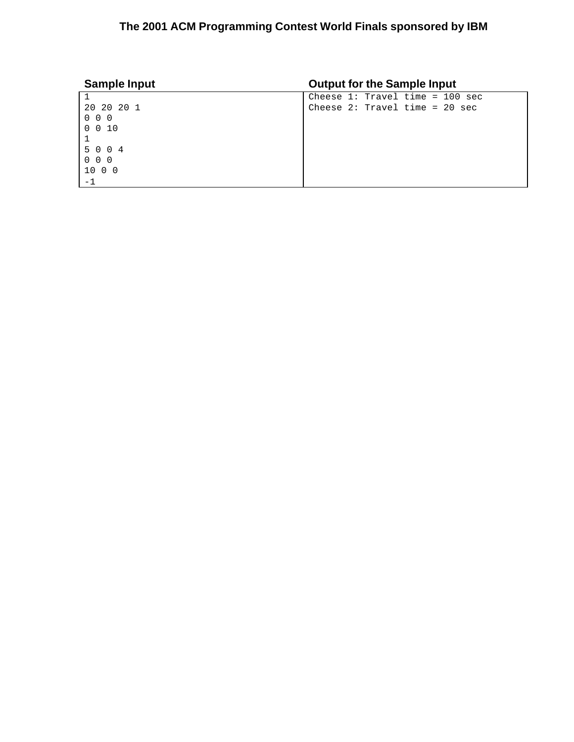| <b>Sample Input</b> | <b>Output for the Sample Input</b>        |
|---------------------|-------------------------------------------|
|                     | Cheese 1: Travel time = $100 \text{ sec}$ |
| 20 20 20 1          | Cheese 2: Travel time = 20 sec            |
| $0\quad 0\quad 0$   |                                           |
| $0 \t0 \t10$        |                                           |
|                     |                                           |
| 5 0 0 4             |                                           |
| $0\quad 0\quad 0$   |                                           |
| 10 0 0              |                                           |
| $-1$                |                                           |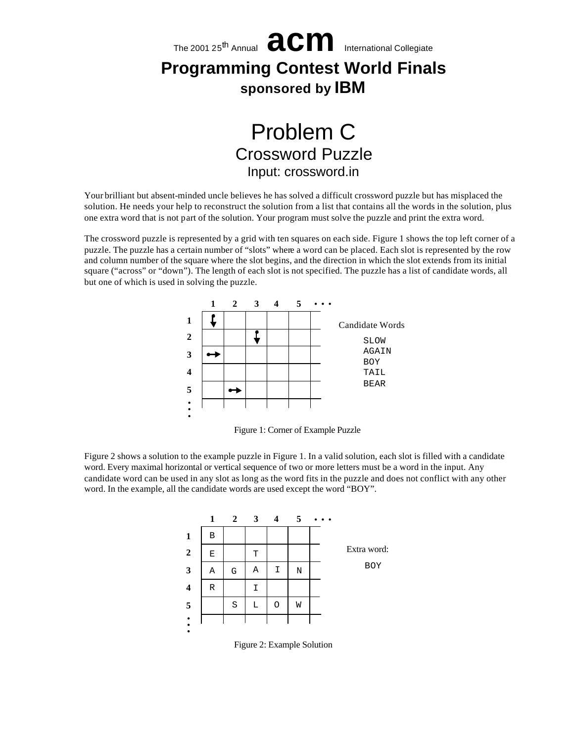

# Problem C Crossword Puzzle Input: crossword.in

Your brilliant but absent-minded uncle believes he has solved a difficult crossword puzzle but has misplaced the solution. He needs your help to reconstruct the solution from a list that contains all the words in the solution, plus one extra word that is not part of the solution. Your program must solve the puzzle and print the extra word.

The crossword puzzle is represented by a grid with ten squares on each side. Figure 1 shows the top left corner of a puzzle. The puzzle has a certain number of "slots" where a word can be placed. Each slot is represented by the row and column number of the square where the slot begins, and the direction in which the slot extends from its initial square ("across" or "down"). The length of each slot is not specified. The puzzle has a list of candidate words, all but one of which is used in solving the puzzle.





Figure 2 shows a solution to the example puzzle in Figure 1. In a valid solution, each slot is filled with a candidate word. Every maximal horizontal or vertical sequence of two or more letters must be a word in the input. Any candidate word can be used in any slot as long as the word fits in the puzzle and does not conflict with any other word. In the example, all the candidate words are used except the word "BOY".



Figure 2: Example Solution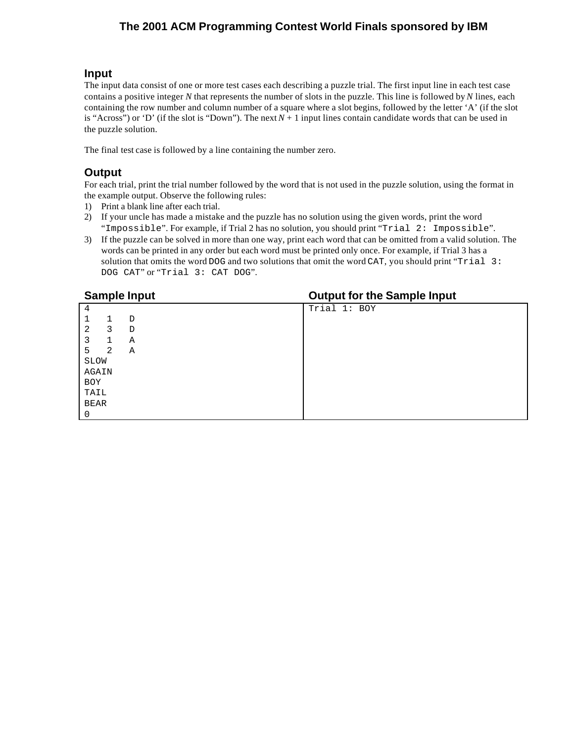### **Input**

The input data consist of one or more test cases each describing a puzzle trial. The first input line in each test case contains a positive integer *N* that represents the number of slots in the puzzle. This line is followed by *N* lines, each containing the row number and column number of a square where a slot begins, followed by the letter 'A' (if the slot is "Across") or 'D' (if the slot is "Down"). The next  $N + 1$  input lines contain candidate words that can be used in the puzzle solution.

The final test case is followed by a line containing the number zero.

### **Output**

For each trial, print the trial number followed by the word that is not used in the puzzle solution, using the format in the example output. Observe the following rules:

- 1) Print a blank line after each trial.
- 2) If your uncle has made a mistake and the puzzle has no solution using the given words, print the word "Impossible". For example, if Trial 2 has no solution, you should print "Trial 2: Impossible".
- 3) If the puzzle can be solved in more than one way, print each word that can be omitted from a valid solution. The words can be printed in any order but each word must be printed only once. For example, if Trial 3 has a solution that omits the word DOG and two solutions that omit the word CAT, you should print "Trial 3: DOG CAT" or "Trial 3: CAT DOG".

|             |              |   | $\sim$ 0.0 $\sim$ 0.0 $\sim$ 0.0 $\sim$ 0.0 $\sim$ 0.0 $\sim$ 0.0 $\sim$ 0.0 $\sim$ |
|-------------|--------------|---|-------------------------------------------------------------------------------------|
| 4           |              |   | Trial 1: BOY                                                                        |
| 1           | $\mathbf{1}$ | D |                                                                                     |
| 2           | 3            | D |                                                                                     |
| 3           | 1            | Α |                                                                                     |
| 5           | 2            | Α |                                                                                     |
| SLOW        |              |   |                                                                                     |
| AGAIN       |              |   |                                                                                     |
| BOY         |              |   |                                                                                     |
| TAIL        |              |   |                                                                                     |
| <b>BEAR</b> |              |   |                                                                                     |
| 0           |              |   |                                                                                     |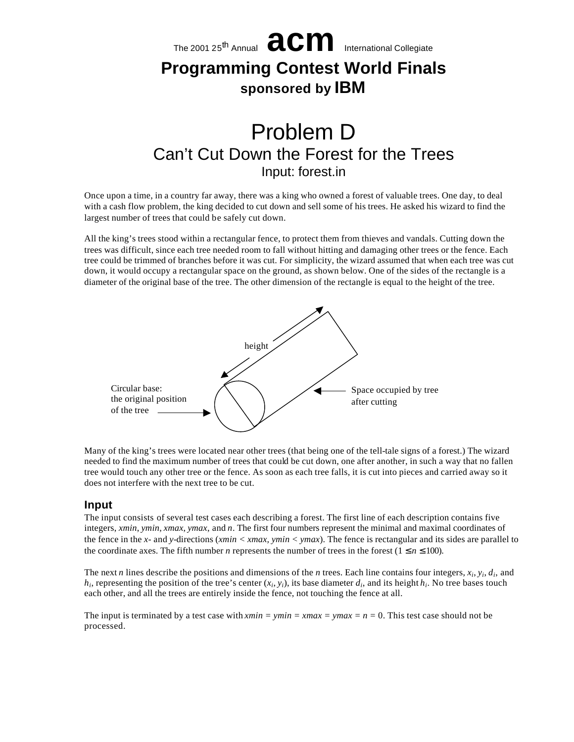

# Problem D Can't Cut Down the Forest for the Trees Input: forest.in

Once upon a time, in a country far away, there was a king who owned a forest of valuable trees. One day, to deal with a cash flow problem, the king decided to cut down and sell some of his trees. He asked his wizard to find the largest number of trees that could be safely cut down.

All the king's trees stood within a rectangular fence, to protect them from thieves and vandals. Cutting down the trees was difficult, since each tree needed room to fall without hitting and damaging other trees or the fence. Each tree could be trimmed of branches before it was cut. For simplicity, the wizard assumed that when each tree was cut down, it would occupy a rectangular space on the ground, as shown below. One of the sides of the rectangle is a diameter of the original base of the tree. The other dimension of the rectangle is equal to the height of the tree.



Many of the king's trees were located near other trees (that being one of the tell-tale signs of a forest.) The wizard needed to find the maximum number of trees that could be cut down, one after another, in such a way that no fallen tree would touch any other tree or the fence. As soon as each tree falls, it is cut into pieces and carried away so it does not interfere with the next tree to be cut.

#### **Input**

The input consists of several test cases each describing a forest. The first line of each description contains five integers, *xmin*, *ymin*, *xmax*, *ymax*, and *n*. The first four numbers represent the minimal and maximal coordinates of the fence in the *x-* and *y-*directions (*xmin < xmax, ymin < ymax*). The fence is rectangular and its sides are parallel to the coordinate axes. The fifth number *n* represents the number of trees in the forest ( $1 \le n \le 100$ ).

The next *n* lines describe the positions and dimensions of the *n* trees. Each line contains four integers,  $x_i$ ,  $y_i$ ,  $d_i$ , and  $h_i$ , representing the position of the tree's center  $(x_i, y_i)$ , its base diameter  $d_i$ , and its height  $h_i$ . No tree bases touch each other, and all the trees are entirely inside the fence, not touching the fence at all.

The input is terminated by a test case with  $xmin = ymin = xmax = ymax = n = 0$ . This test case should not be processed.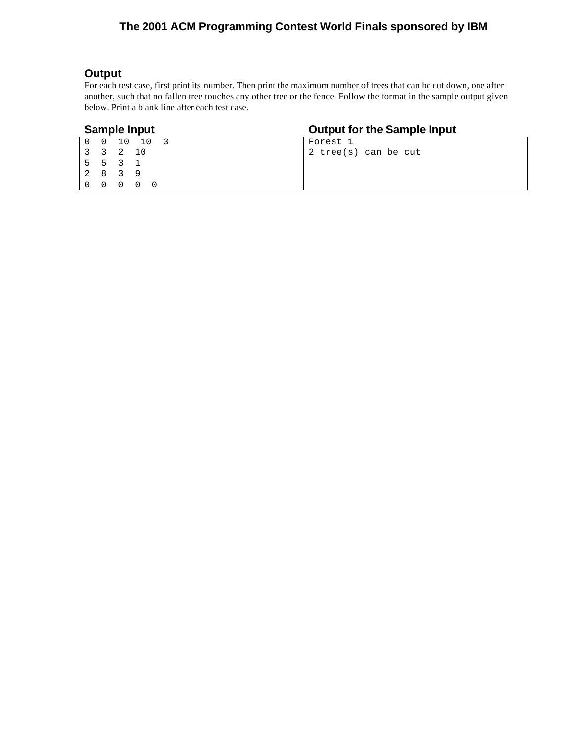### **Output**

For each test case, first print its number. Then print the maximum number of trees that can be cut down, one after another, such that no fallen tree touches any other tree or the fence. Follow the format in the sample output given below. Print a blank line after each test case.

| <b>Sample Input</b> |  |  |
|---------------------|--|--|
|---------------------|--|--|

| $0\quad 0$ | 10 10    | 3 | Forest 1             |
|------------|----------|---|----------------------|
|            | 3 3 2 10 |   | 2 tree(s) can be cut |
|            | 5 5 3 1  |   |                      |
|            | 2 8 3 9  |   |                      |
| $\cap$     |          |   |                      |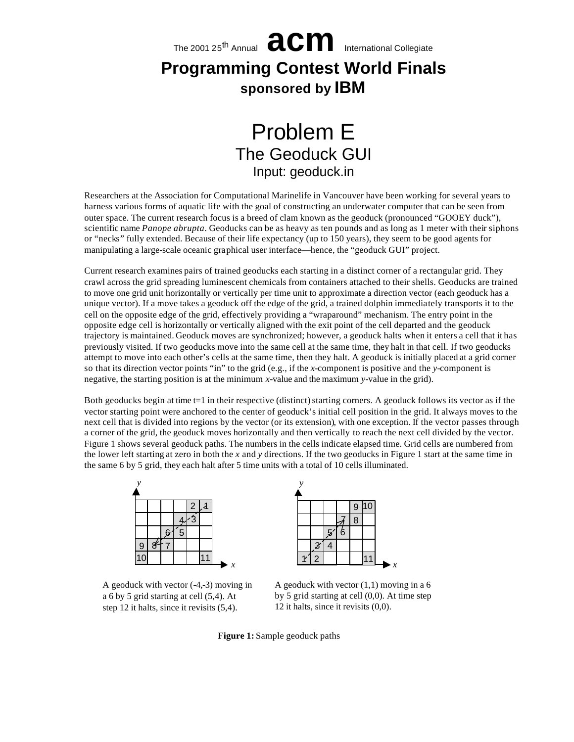# Problem E The Geoduck GUI Input: geoduck.in

Researchers at the Association for Computational Marinelife in Vancouver have been working for several years to harness various forms of aquatic life with the goal of constructing an underwater computer that can be seen from outer space. The current research focus is a breed of clam known as the geoduck (pronounced "GOOEY duck"), scientific name *Panope abrupta*. Geoducks can be as heavy as ten pounds and as long as 1 meter with their siphons or "necks" fully extended. Because of their life expectancy (up to 150 years), they seem to be good agents for manipulating a large-scale oceanic graphical user interface—hence, the "geoduck GUI" project.

Current research examines pairs of trained geoducks each starting in a distinct corner of a rectangular grid. They crawl across the grid spreading luminescent chemicals from containers attached to their shells. Geoducks are trained to move one grid unit horizontally or vertically per time unit to approximate a direction vector (each geoduck has a unique vector). If a move takes a geoduck off the edge of the grid, a trained dolphin immediately transports it to the cell on the opposite edge of the grid, effectively providing a "wraparound" mechanism. The entry point in the opposite edge cell is horizontally or vertically aligned with the exit point of the cell departed and the geoduck trajectory is maintained. Geoduck moves are synchronized; however, a geoduck halts when it enters a cell that it has previously visited. If two geoducks move into the same cell at the same time, they halt in that cell. If two geoducks attempt to move into each other's cells at the same time, then they halt. A geoduck is initially placed at a grid corner so that its direction vector points "in" to the grid (e.g., if the *x*-component is positive and the *y*-component is negative, the starting position is at the minimum *x*-value and the maximum *y*-value in the grid).

Both geoducks begin at time  $t=1$  in their respective (distinct) starting corners. A geoduck follows its vector as if the vector starting point were anchored to the center of geoduck's initial cell position in the grid. It always moves to the next cell that is divided into regions by the vector (or its extension), with one exception. If the vector passes through a corner of the grid, the geoduck moves horizontally and then vertically to reach the next cell divided by the vector. Figure 1 shows several geoduck paths. The numbers in the cells indicate elapsed time. Grid cells are numbered from the lower left starting at zero in both the *x* and *y* directions. If the two geoducks in Figure 1 start at the same time in the same 6 by 5 grid, they each halt after 5 time units with a total of 10 cells illuminated.



*x y*  $\overline{\mathcal{Z}}$ 6 ∣5 7 | 8 9 10 11

A geoduck with vector (-4,-3) moving in a 6 by 5 grid starting at cell (5,4). At step 12 it halts, since it revisits (5,4).

A geoduck with vector  $(1,1)$  moving in a 6 by 5 grid starting at cell (0,0). At time step 12 it halts, since it revisits (0,0).

**Figure 1:** Sample geoduck paths

*x*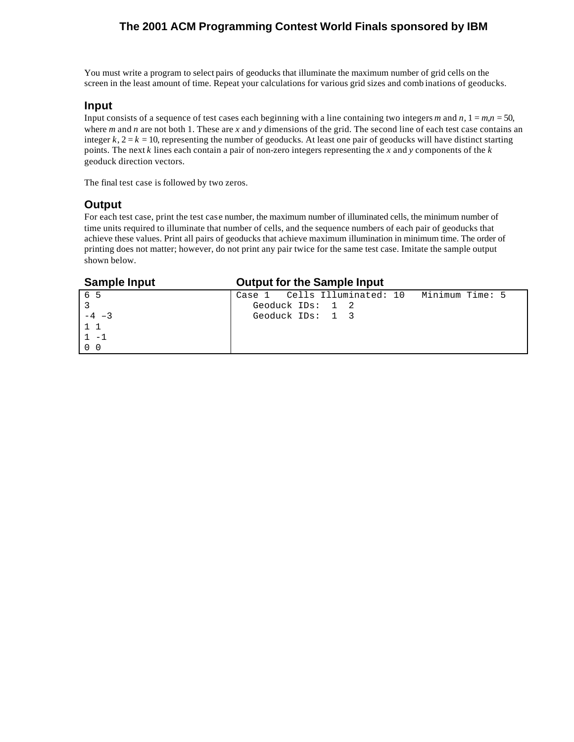You must write a program to select pairs of geoducks that illuminate the maximum number of grid cells on the screen in the least amount of time. Repeat your calculations for various grid sizes and comb inations of geoducks.

#### **Input**

Input consists of a sequence of test cases each beginning with a line containing two integers  $m$  and  $n$ ,  $1 = m, n = 50$ , where *m* and *n* are not both 1. These are *x* and *y* dimensions of the grid. The second line of each test case contains an integer  $k$ ,  $2 = k = 10$ , representing the number of geoducks. At least one pair of geoducks will have distinct starting points. The next *k* lines each contain a pair of non-zero integers representing the *x* and *y* components of the *k* geoduck direction vectors.

The final test case is followed by two zeros.

#### **Output**

For each test case, print the test case number, the maximum number of illuminated cells, the minimum number of time units required to illuminate that number of cells, and the sequence numbers of each pair of geoducks that achieve these values. Print all pairs of geoducks that achieve maximum illumination in minimum time. The order of printing does not matter; however, do not print any pair twice for the same test case. Imitate the sample output shown below.

| <b>VALLINIA LITRAL</b> | <b>Salpat TVI the Salliple lifeat</b>        |  |
|------------------------|----------------------------------------------|--|
| 65                     | Case 1 Cells Illuminated: 10 Minimum Time: 5 |  |
|                        | Geoduck IDs: 1 2                             |  |
| $-4 -3$                | Geoduck IDs: 1 3                             |  |
| $1\quad1$              |                                              |  |
| $1 - 1$                |                                              |  |
| $0\quad 0$             |                                              |  |
|                        |                                              |  |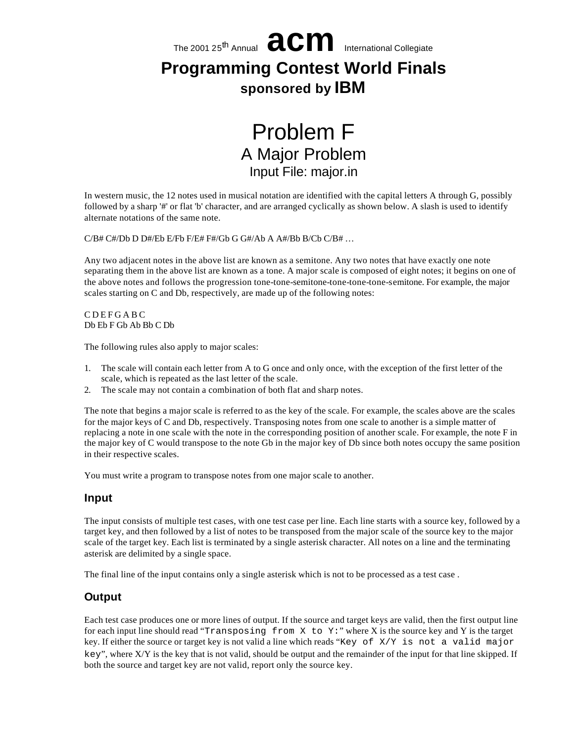

# Problem F A Major Problem Input File: major.in

In western music, the 12 notes used in musical notation are identified with the capital letters A through G, possibly followed by a sharp '#' or flat 'b' character, and are arranged cyclically as shown below. A slash is used to identify alternate notations of the same note.

C/B# C#/Db D D#/Eb E/Fb F/E# F#/Gb G G#/Ab A A#/Bb B/Cb C/B# …

Any two adjacent notes in the above list are known as a semitone. Any two notes that have exactly one note separating them in the above list are known as a tone. A major scale is composed of eight notes; it begins on one of the above notes and follows the progression tone-tone-semitone-tone-tone-tone-semitone. For example, the major scales starting on C and Db, respectively, are made up of the following notes:

C D E F G A B C Db Eb F Gb Ab Bb C Db

The following rules also apply to major scales:

- 1. The scale will contain each letter from A to G once and only once, with the exception of the first letter of the scale, which is repeated as the last letter of the scale.
- 2. The scale may not contain a combination of both flat and sharp notes.

The note that begins a major scale is referred to as the key of the scale. For example, the scales above are the scales for the major keys of C and Db, respectively. Transposing notes from one scale to another is a simple matter of replacing a note in one scale with the note in the corresponding position of another scale. For example, the note F in the major key of C would transpose to the note Gb in the major key of Db since both notes occupy the same position in their respective scales.

You must write a program to transpose notes from one major scale to another.

### **Input**

The input consists of multiple test cases, with one test case per line. Each line starts with a source key, followed by a target key, and then followed by a list of notes to be transposed from the major scale of the source key to the major scale of the target key. Each list is terminated by a single asterisk character. All notes on a line and the terminating asterisk are delimited by a single space.

The final line of the input contains only a single asterisk which is not to be processed as a test case .

## **Output**

Each test case produces one or more lines of output. If the source and target keys are valid, then the first output line for each input line should read "Transposing from  $X$  to  $Y:$ " where X is the source key and Y is the target key. If either the source or target key is not valid a line which reads "Key of X/Y is not a valid major key", where X/Y is the key that is not valid, should be output and the remainder of the input for that line skipped. If both the source and target key are not valid, report only the source key.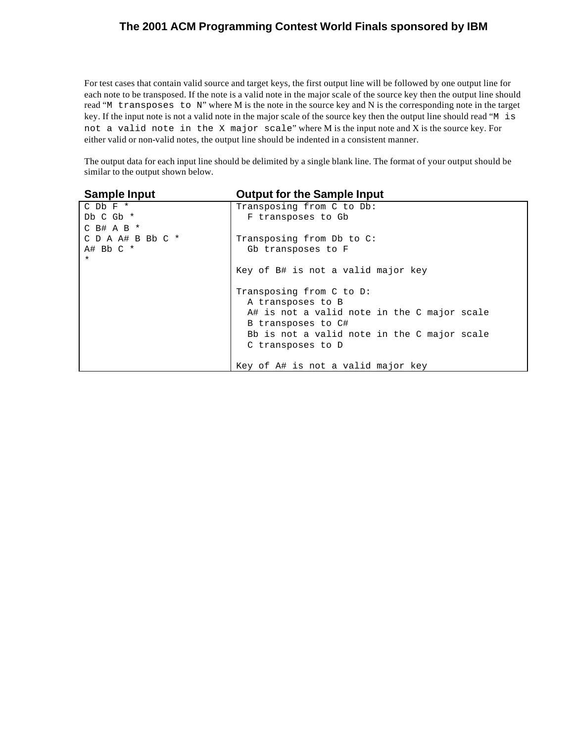For test cases that contain valid source and target keys, the first output line will be followed by one output line for each note to be transposed. If the note is a valid note in the major scale of the source key then the output line should read "M transposes to N" where M is the note in the source key and N is the corresponding note in the target key. If the input note is not a valid note in the major scale of the source key then the output line should read "M is not a valid note in the X major scale" where M is the input note and X is the source key. For either valid or non-valid notes, the output line should be indented in a consistent manner.

The output data for each input line should be delimited by a single blank line. The format of your output should be similar to the output shown below.

| Sample Input          | <b>Output for the Sample Input</b>          |
|-----------------------|---------------------------------------------|
| $C$ Db F $*$          | Transposing from C to Db:                   |
| $Db C Gb *$           | F transposes to Gb                          |
| $C$ B# A B $*$        |                                             |
| $C$ D A A# B Bb $C$ * | Transposing from Db to C:                   |
| A# Bb $C^*$           | Gb transposes to F                          |
| $\star$               |                                             |
|                       | Key of B# is not a valid major key          |
|                       |                                             |
|                       | Transposing from C to D:                    |
|                       | A transposes to B                           |
|                       | A# is not a valid note in the C major scale |
|                       | B transposes to C#                          |
|                       | Bb is not a valid note in the C major scale |
|                       | C transposes to D                           |
|                       |                                             |
|                       | Key of A# is not a valid major key          |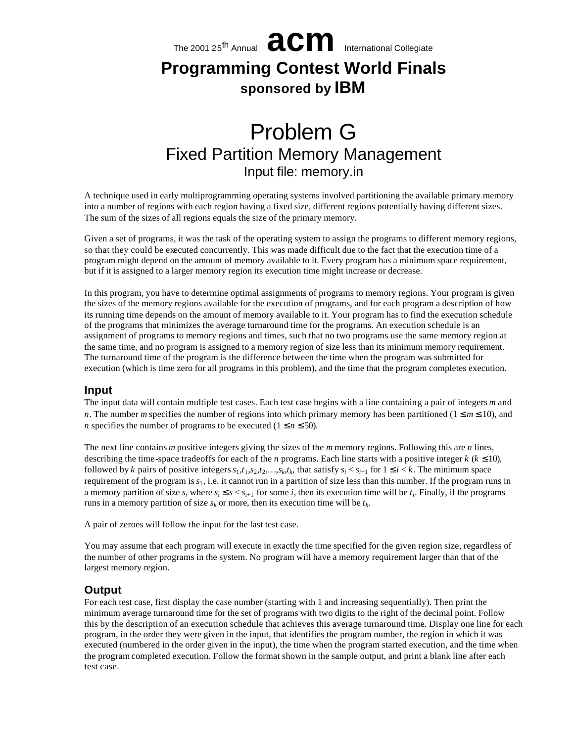

# Problem G Fixed Partition Memory Management Input file: memory.in

A technique used in early multiprogramming operating systems involved partitioning the available primary memory into a number of regions with each region having a fixed size, different regions potentially having different sizes. The sum of the sizes of all regions equals the size of the primary memory.

Given a set of programs, it was the task of the operating system to assign the programs to different memory regions, so that they could be executed concurrently. This was made difficult due to the fact that the execution time of a program might depend on the amount of memory available to it. Every program has a minimum space requirement, but if it is assigned to a larger memory region its execution time might increase or decrease.

In this program, you have to determine optimal assignments of programs to memory regions. Your program is given the sizes of the memory regions available for the execution of programs, and for each program a description of how its running time depends on the amount of memory available to it. Your program has to find the execution schedule of the programs that minimizes the average turnaround time for the programs. An execution schedule is an assignment of programs to memory regions and times, such that no two programs use the same memory region at the same time, and no program is assigned to a memory region of size less than its minimum memory requirement. The turnaround time of the program is the difference between the time when the program was submitted for execution (which is time zero for all programs in this problem), and the time that the program completes execution.

#### **Input**

The input data will contain multiple test cases. Each test case begins with a line containing a pair of integers *m* and *n*. The number *m* specifies the number of regions into which primary memory has been partitioned ( $1 \le m \le 10$ ), and *n* specifies the number of programs to be executed ( $1 \le n \le 50$ ).

The next line contains *m* positive integers giving the sizes of the *m* memory regions. Following this are *n* lines, describing the time-space tradeoffs for each of the *n* programs. Each line starts with a positive integer  $k$  ( $k \le 10$ ), followed by k pairs of positive integers  $s_1,t_1,s_2,t_2,...,s_k,t_k$ , that satisfy  $s_i < s_{i+1}$  for  $1 \le i < k$ . The minimum space requirement of the program is *s*1, i.e. it cannot run in a partition of size less than this number. If the program runs in a memory partition of size *s*, where  $s_i \le s < s_{i+1}$  for some *i*, then its execution time will be  $t_i$ . Finally, if the programs runs in a memory partition of size  $s_k$  or more, then its execution time will be  $t_k$ .

A pair of zeroes will follow the input for the last test case.

You may assume that each program will execute in exactly the time specified for the given region size, regardless of the number of other programs in the system. No program will have a memory requirement larger than that of the largest memory region.

### **Output**

For each test case, first display the case number (starting with 1 and increasing sequentially). Then print the minimum average turnaround time for the set of programs with two digits to the right of the decimal point. Follow this by the description of an execution schedule that achieves this average turnaround time. Display one line for each program, in the order they were given in the input, that identifies the program number, the region in which it was executed (numbered in the order given in the input), the time when the program started execution, and the time when the program completed execution. Follow the format shown in the sample output, and print a blank line after each test case.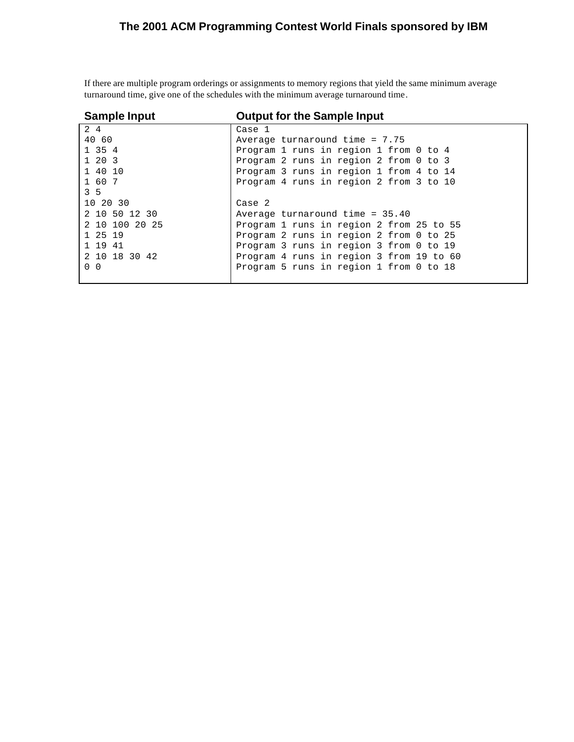If there are multiple program orderings or assignments to memory regions that yield the same minimum average turnaround time, give one of the schedules with the minimum average turnaround time.

| <b>Sample Input</b> | <b>Output for the Sample Input</b>       |
|---------------------|------------------------------------------|
| $2\quad 4$          | Case 1                                   |
| 40 60               | Average turnaround time = $7.75$         |
| 1354                | Program 1 runs in region 1 from 0 to 4   |
| 1203                | Program 2 runs in region 2 from 0 to 3   |
| 1 40 10             | Program 3 runs in region 1 from 4 to 14  |
| 1 60 7              | Program 4 runs in region 2 from 3 to 10  |
| $3\overline{5}$     |                                          |
| 10 20 30            | Case 2                                   |
| 2 10 50 12 30       | Average turnaround time = 35.40          |
| 2 10 100 20 25      | Program 1 runs in region 2 from 25 to 55 |
| 1 25 19             | Program 2 runs in region 2 from 0 to 25  |
| 1 19 41             | Program 3 runs in region 3 from 0 to 19  |
| 2 10 18 30 42       | Program 4 runs in region 3 from 19 to 60 |
| $0\quad 0$          | Program 5 runs in region 1 from 0 to 18  |
|                     |                                          |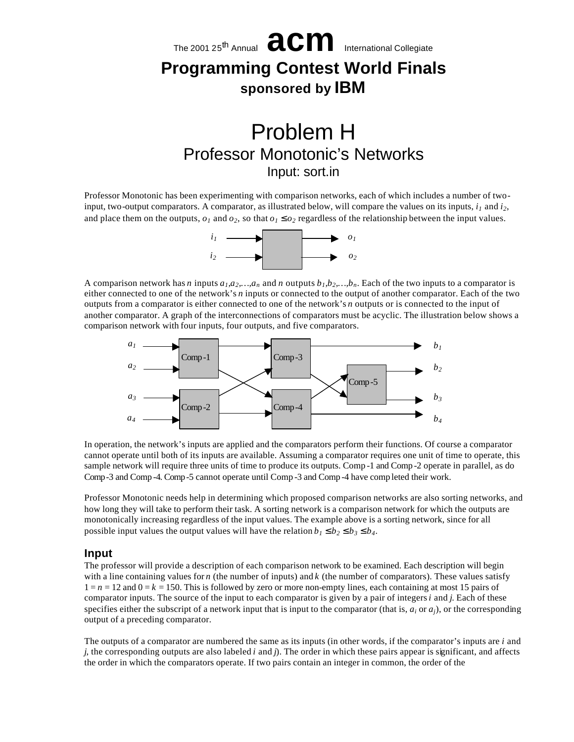

# Problem H Professor Monotonic's Networks Input: sort.in

Professor Monotonic has been experimenting with comparison networks, each of which includes a number of twoinput, two-output comparators. A comparator, as illustrated below, will compare the values on its inputs,  $i<sub>l</sub>$  and  $i<sub>2</sub>$ , and place them on the outputs,  $o_1$  and  $o_2$ , so that  $o_1 \leq o_2$  regardless of the relationship between the input values.



A comparison network has *n* inputs  $a_1, a_2, \ldots, a_n$  and *n* outputs  $b_1, b_2, \ldots, b_n$ . Each of the two inputs to a comparator is either connected to one of the network's *n* inputs or connected to the output of another comparator. Each of the two outputs from a comparator is either connected to one of the network's *n* outputs or is connected to the input of another comparator. A graph of the interconnections of comparators must be acyclic. The illustration below shows a comparison network with four inputs, four outputs, and five comparators.



In operation, the network's inputs are applied and the comparators perform their functions. Of course a comparator cannot operate until both of its inputs are available. Assuming a comparator requires one unit of time to operate, this sample network will require three units of time to produce its outputs. Comp -1 and Comp -2 operate in parallel, as do Comp-3 and Comp -4. Comp-5 cannot operate until Comp -3 and Comp -4 have comp leted their work.

Professor Monotonic needs help in determining which proposed comparison networks are also sorting networks, and how long they will take to perform their task. A sorting network is a comparison network for which the outputs are monotonically increasing regardless of the input values. The example above is a sorting network, since for all possible input values the output values will have the relation  $b_1 \leq b_2 \leq b_3 \leq b_4$ .

#### **Input**

The professor will provide a description of each comparison network to be examined. Each description will begin with a line containing values for *n* (the number of inputs) and *k* (the number of comparators). These values satisfy  $1 = n = 12$  and  $0 = k = 150$ . This is followed by zero or more non-empty lines, each containing at most 15 pairs of comparator inputs. The source of the input to each comparator is given by a pair of integers *i* and *j*. Each of these specifies either the subscript of a network input that is input to the comparator (that is,  $a_i$  or  $a_j$ ), or the corresponding output of a preceding comparator.

The outputs of a comparator are numbered the same as its inputs (in other words, if the comparator's inputs are *i* and *j*, the corresponding outputs are also labeled *i* and *j*). The order in which these pairs appear is significant, and affects the order in which the comparators operate. If two pairs contain an integer in common, the order of the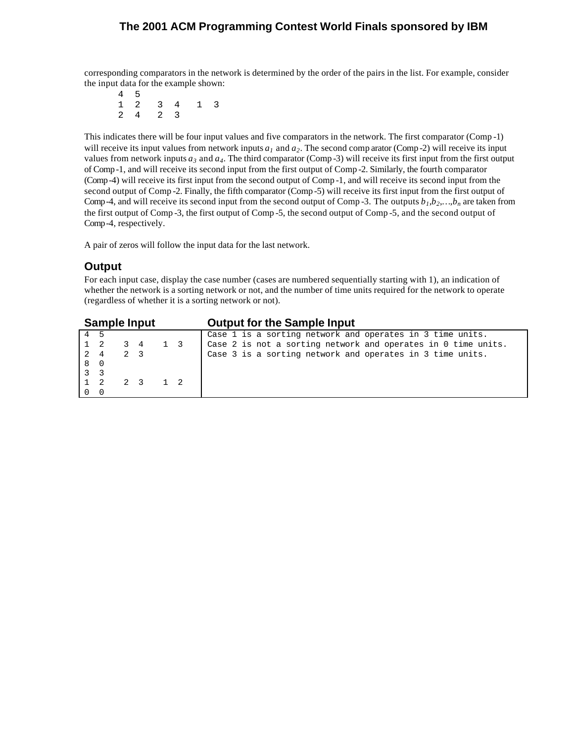corresponding comparators in the network is determined by the order of the pairs in the list. For example, consider the input data for the example shown:

 $\begin{array}{cc} 4 & 5 \\ 1 & 2 \end{array}$  $\begin{array}{ccccccccc}\n1 & 2 & 3 & 4 & 1 & 3 \\
2 & 4 & 2 & 3 & &\n\end{array}$ 2 4 2 3

This indicates there will be four input values and five comparators in the network. The first comparator (Comp -1) will receive its input values from network inputs  $a<sub>1</sub>$  and  $a<sub>2</sub>$ . The second comp arator (Comp -2) will receive its input values from network inputs *a3* and *a4*. The third comparator (Comp -3) will receive its first input from the first output of Comp-1, and will receive its second input from the first output of Comp -2. Similarly, the fourth comparator (Comp-4) will receive its first input from the second output of Comp -1, and will receive its second input from the second output of Comp -2. Finally, the fifth comparator (Comp -5) will receive its first input from the first output of Comp-4, and will receive its second input from the second output of Comp -3. The outputs  $b_1, b_2, \ldots, b_n$  are taken from the first output of Comp -3, the first output of Comp -5, the second output of Comp -5, and the second output of Comp-4, respectively.

A pair of zeros will follow the input data for the last network.

### **Output**

For each input case, display the case number (cases are numbered sequentially starting with 1), an indication of whether the network is a sorting network or not, and the number of time units required for the network to operate (regardless of whether it is a sorting network or not).

| <b>Sample Input</b> |                |                  |  |             | <b>Output for the Sample Input</b>                            |
|---------------------|----------------|------------------|--|-------------|---------------------------------------------------------------|
|                     | $4\quad 5$     |                  |  |             | Case 1 is a sorting network and operates in 3 time units.     |
|                     | $1\quad 2$     | 3 4              |  | $1 \quad 3$ | Case 2 is not a sorting network and operates in 0 time units. |
|                     | $2 \quad 4$    | 2 3              |  |             | Case 3 is a sorting network and operates in 3 time units.     |
|                     | 8 0            |                  |  |             |                                                               |
|                     | 3 <sup>3</sup> |                  |  |             |                                                               |
|                     | $1 \quad 2$    | $2 \overline{3}$ |  | $1\quad 2$  |                                                               |
| $0\quad 0$          |                |                  |  |             |                                                               |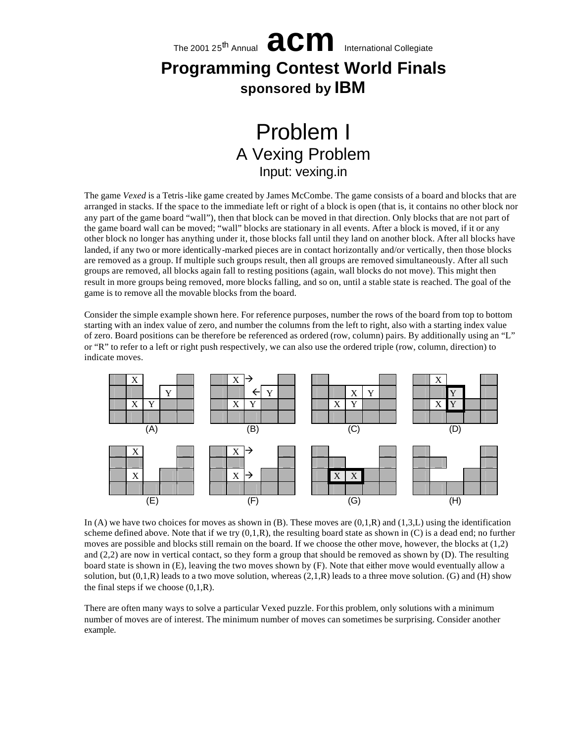

# Problem I A Vexing Problem Input: vexing.in

The game *Vexed* is a Tetris-like game created by James McCombe. The game consists of a board and blocks that are arranged in stacks. If the space to the immediate left or right of a block is open (that is, it contains no other block nor any part of the game board "wall"), then that block can be moved in that direction. Only blocks that are not part of the game board wall can be moved; "wall" blocks are stationary in all events. After a block is moved, if it or any other block no longer has anything under it, those blocks fall until they land on another block. After all blocks have landed, if any two or more identically-marked pieces are in contact horizontally and/or vertically, then those blocks are removed as a group. If multiple such groups result, then all groups are removed simultaneously. After all such groups are removed, all blocks again fall to resting positions (again, wall blocks do not move). This might then result in more groups being removed, more blocks falling, and so on, until a stable state is reached. The goal of the game is to remove all the movable blocks from the board.

Consider the simple example shown here. For reference purposes, number the rows of the board from top to bottom starting with an index value of zero, and number the columns from the left to right, also with a starting index value of zero. Board positions can be therefore be referenced as ordered (row, column) pairs. By additionally using an "L" or "R" to refer to a left or right push respectively, we can also use the ordered triple (row, column, direction) to indicate moves.



In (A) we have two choices for moves as shown in  $(B)$ . These moves are  $(0,1,R)$  and  $(1,3,L)$  using the identification scheme defined above. Note that if we try  $(0,1,R)$ , the resulting board state as shown in  $(C)$  is a dead end; no further moves are possible and blocks still remain on the board. If we choose the other move, however, the blocks at (1,2) and  $(2,2)$  are now in vertical contact, so they form a group that should be removed as shown by  $(D)$ . The resulting board state is shown in (E), leaving the two moves shown by (F). Note that either move would eventually allow a solution, but  $(0,1,R)$  leads to a two move solution, whereas  $(2,1,R)$  leads to a three move solution. (G) and (H) show the final steps if we choose  $(0,1,R)$ .

There are often many ways to solve a particular Vexed puzzle. For this problem, only solutions with a minimum number of moves are of interest. The minimum number of moves can sometimes be surprising. Consider another example.